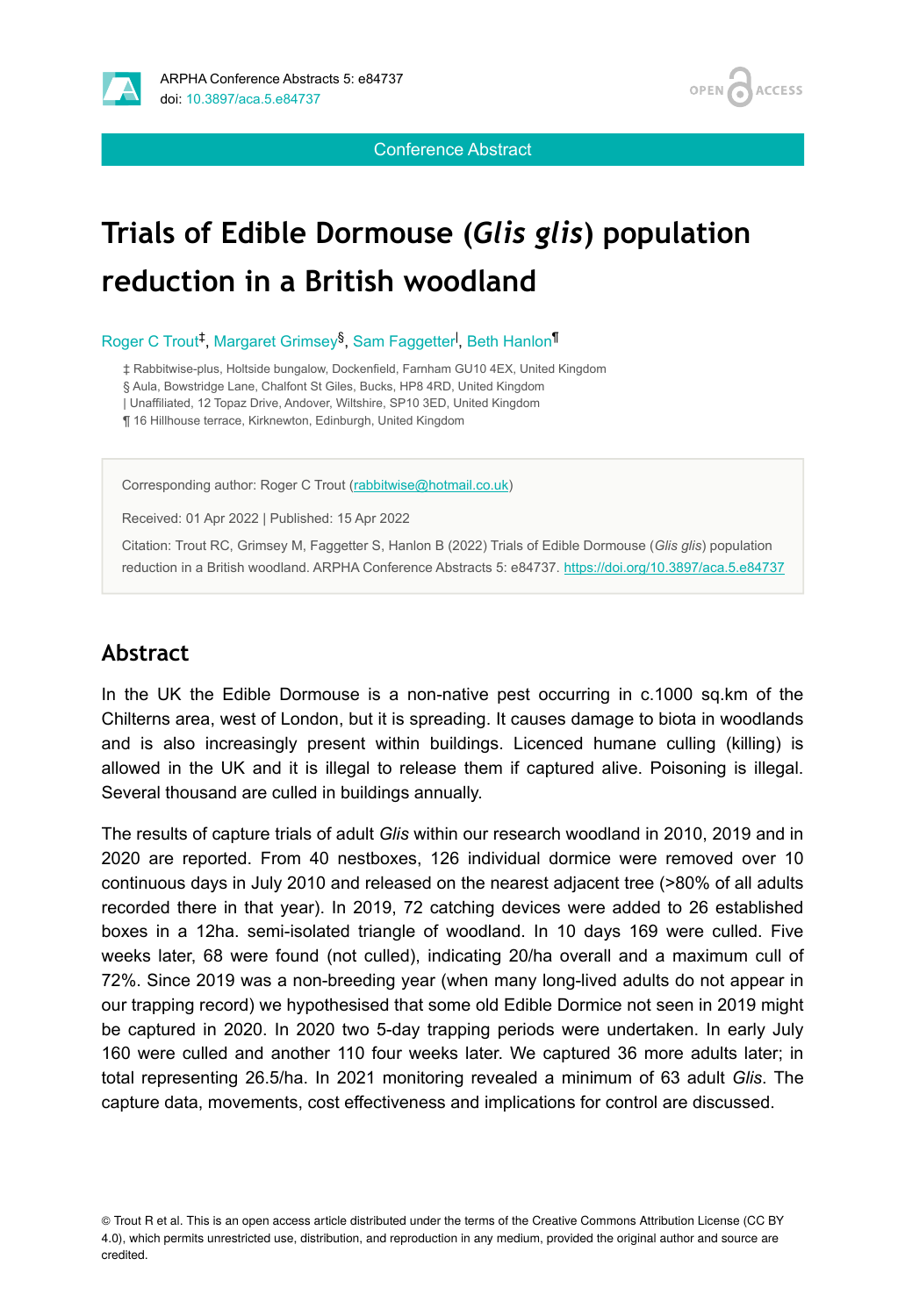

OPEN / **ACCESS** 

Conference Abstract

# **Trials of Edible Dormouse (***Glis glis***) population reduction in a British woodland**

Roger C Trout<sup>‡</sup>, Margaret Grimsey<sup>§</sup>, Sam Faggetter<sup>I</sup>, Beth Hanlon<sup>¶</sup>

‡ Rabbitwise-plus, Holtside bungalow, Dockenfield, Farnham GU10 4EX, United Kingdom § Aula, Bowstridge Lane, Chalfont St Giles, Bucks, HP8 4RD, United Kingdom | Unaffiliated, 12 Topaz Drive, Andover, Wiltshire, SP10 3ED, United Kingdom

¶ 16 Hillhouse terrace, Kirknewton, Edinburgh, United Kingdom

Corresponding author: Roger C Trout ([rabbitwise@hotmail.co.uk\)](mailto:rabbitwise@hotmail.co.uk)

Received: 01 Apr 2022 | Published: 15 Apr 2022

Citation: Trout RC, Grimsey M, Faggetter S, Hanlon B (2022) Trials of Edible Dormouse (*Glis glis*) population reduction in a British woodland. ARPHA Conference Abstracts 5: e84737.<https://doi.org/10.3897/aca.5.e84737>

#### **Abstract**

In the UK the Edible Dormouse is a non-native pest occurring in c.1000 sq.km of the Chilterns area, west of London, but it is spreading. It causes damage to biota in woodlands and is also increasingly present within buildings. Licenced humane culling (killing) is allowed in the UK and it is illegal to release them if captured alive. Poisoning is illegal. Several thousand are culled in buildings annually.

The results of capture trials of adult *Glis* within our research woodland in 2010, 2019 and in 2020 are reported. From 40 nestboxes, 126 individual dormice were removed over 10 continuous days in July 2010 and released on the nearest adjacent tree (>80% of all adults recorded there in that year). In 2019, 72 catching devices were added to 26 established boxes in a 12ha. semi-isolated triangle of woodland. In 10 days 169 were culled. Five weeks later, 68 were found (not culled), indicating 20/ha overall and a maximum cull of 72%. Since 2019 was a non-breeding year (when many long-lived adults do not appear in our trapping record) we hypothesised that some old Edible Dormice not seen in 2019 might be captured in 2020. In 2020 two 5-day trapping periods were undertaken. In early July 160 were culled and another 110 four weeks later. We captured 36 more adults later; in total representing 26.5/ha. In 2021 monitoring revealed a minimum of 63 adult *Glis*. The capture data, movements, cost effectiveness and implications for control are discussed.

<sup>©</sup> Trout R et al. This is an open access article distributed under the terms of the Creative Commons Attribution License (CC BY 4.0), which permits unrestricted use, distribution, and reproduction in any medium, provided the original author and source are credited.